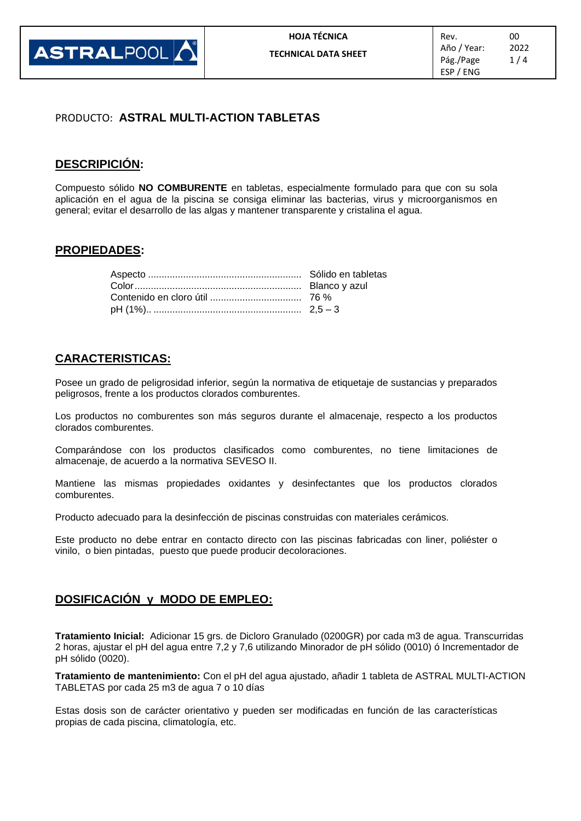

## PRODUCTO: **ASTRAL MULTI-ACTION TABLETAS**

## **DESCRIPICIÓN:**

Compuesto sólido **NO COMBURENTE** en tabletas, especialmente formulado para que con su sola aplicación en el agua de la piscina se consiga eliminar las bacterias, virus y microorganismos en general; evitar el desarrollo de las algas y mantener transparente y cristalina el agua.

## **PROPIEDADES:**

### **CARACTERISTICAS:**

Posee un grado de peligrosidad inferior, según la normativa de etiquetaje de sustancias y preparados peligrosos, frente a los productos clorados comburentes.

Los productos no comburentes son más seguros durante el almacenaje, respecto a los productos clorados comburentes.

Comparándose con los productos clasificados como comburentes, no tiene limitaciones de almacenaje, de acuerdo a la normativa SEVESO II.

Mantiene las mismas propiedades oxidantes y desinfectantes que los productos clorados comburentes.

Producto adecuado para la desinfección de piscinas construidas con materiales cerámicos.

Este producto no debe entrar en contacto directo con las piscinas fabricadas con liner, poliéster o vinilo, o bien pintadas, puesto que puede producir decoloraciones.

### **DOSIFICACIÓN y MODO DE EMPLEO:**

**Tratamiento Inicial:** Adicionar 15 grs. de Dicloro Granulado (0200GR) por cada m3 de agua. Transcurridas 2 horas, ajustar el pH del agua entre 7,2 y 7,6 utilizando Minorador de pH sólido (0010) ó Incrementador de pH sólido (0020).

**Tratamiento de mantenimiento:** Con el pH del agua ajustado, añadir 1 tableta de ASTRAL MULTI-ACTION TABLETAS por cada 25 m3 de agua 7 o 10 días

Estas dosis son de carácter orientativo y pueden ser modificadas en función de las características propias de cada piscina, climatología, etc.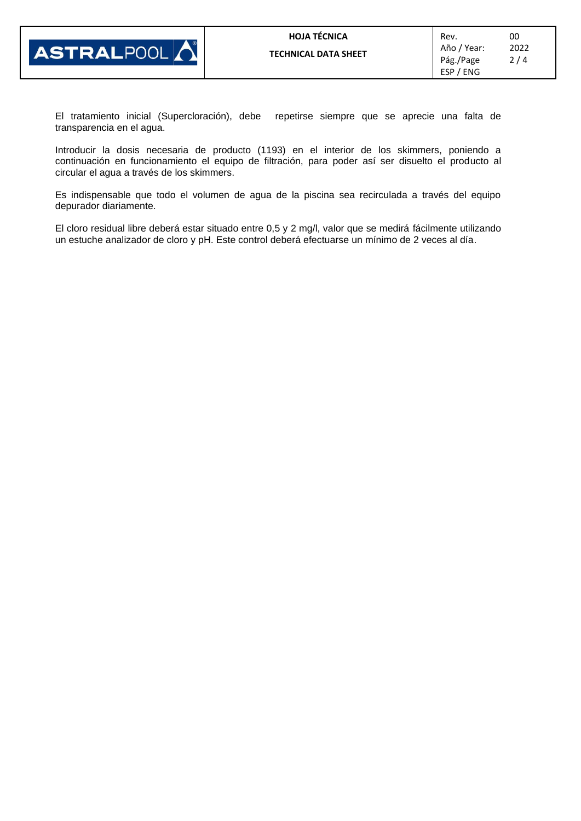

El tratamiento inicial (Supercloración), debe repetirse siempre que se aprecie una falta de transparencia en el agua.

Introducir la dosis necesaria de producto (1193) en el interior de los skimmers, poniendo a continuación en funcionamiento el equipo de filtración, para poder así ser disuelto el producto al circular el agua a través de los skimmers.

Es indispensable que todo el volumen de agua de la piscina sea recirculada a través del equipo depurador diariamente.

El cloro residual libre deberá estar situado entre 0,5 y 2 mg/l, valor que se medirá fácilmente utilizando un estuche analizador de cloro y pH. Este control deberá efectuarse un mínimo de 2 veces al día.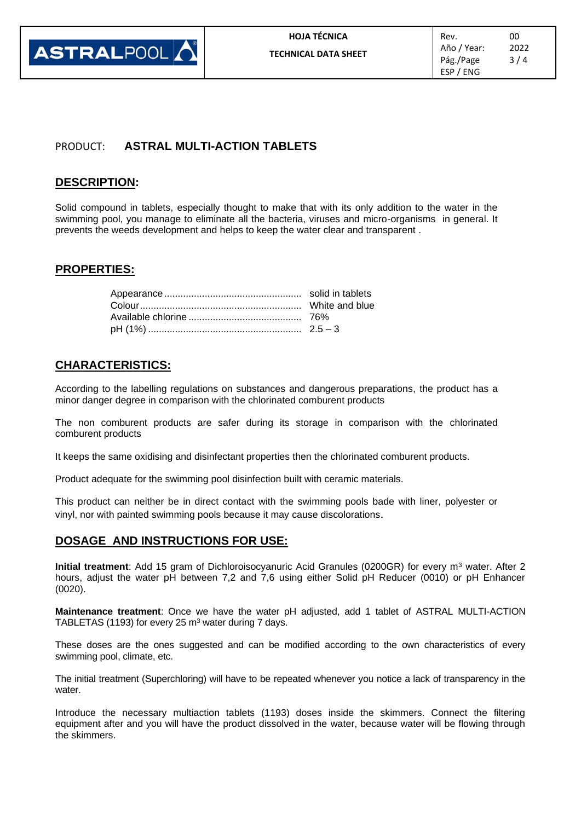

# PRODUCT: **ASTRAL MULTI-ACTION TABLETS**

## **DESCRIPTION:**

Solid compound in tablets, especially thought to make that with its only addition to the water in the swimming pool, you manage to eliminate all the bacteria, viruses and micro-organisms in general. It prevents the weeds development and helps to keep the water clear and transparent .

### **PROPERTIES:**

#### **CHARACTERISTICS:**

According to the labelling regulations on substances and dangerous preparations, the product has a minor danger degree in comparison with the chlorinated comburent products

The non comburent products are safer during its storage in comparison with the chlorinated comburent products

It keeps the same oxidising and disinfectant properties then the chlorinated comburent products.

Product adequate for the swimming pool disinfection built with ceramic materials.

This product can neither be in direct contact with the swimming pools bade with liner, polyester or vinyl, nor with painted swimming pools because it may cause discolorations.

### **DOSAGE AND INSTRUCTIONS FOR USE:**

**Initial treatment**: Add 15 gram of Dichloroisocyanuric Acid Granules (0200GR) for every m<sup>3</sup> water. After 2 hours, adjust the water pH between 7,2 and 7,6 using either Solid pH Reducer (0010) or pH Enhancer (0020).

**Maintenance treatment**: Once we have the water pH adjusted, add 1 tablet of ASTRAL MULTI-ACTION TABLETAS (1193) for every 25 m<sup>3</sup> water during 7 days.

These doses are the ones suggested and can be modified according to the own characteristics of every swimming pool, climate, etc.

The initial treatment (Superchloring) will have to be repeated whenever you notice a lack of transparency in the water.

Introduce the necessary multiaction tablets (1193) doses inside the skimmers. Connect the filtering equipment after and you will have the product dissolved in the water, because water will be flowing through the skimmers.